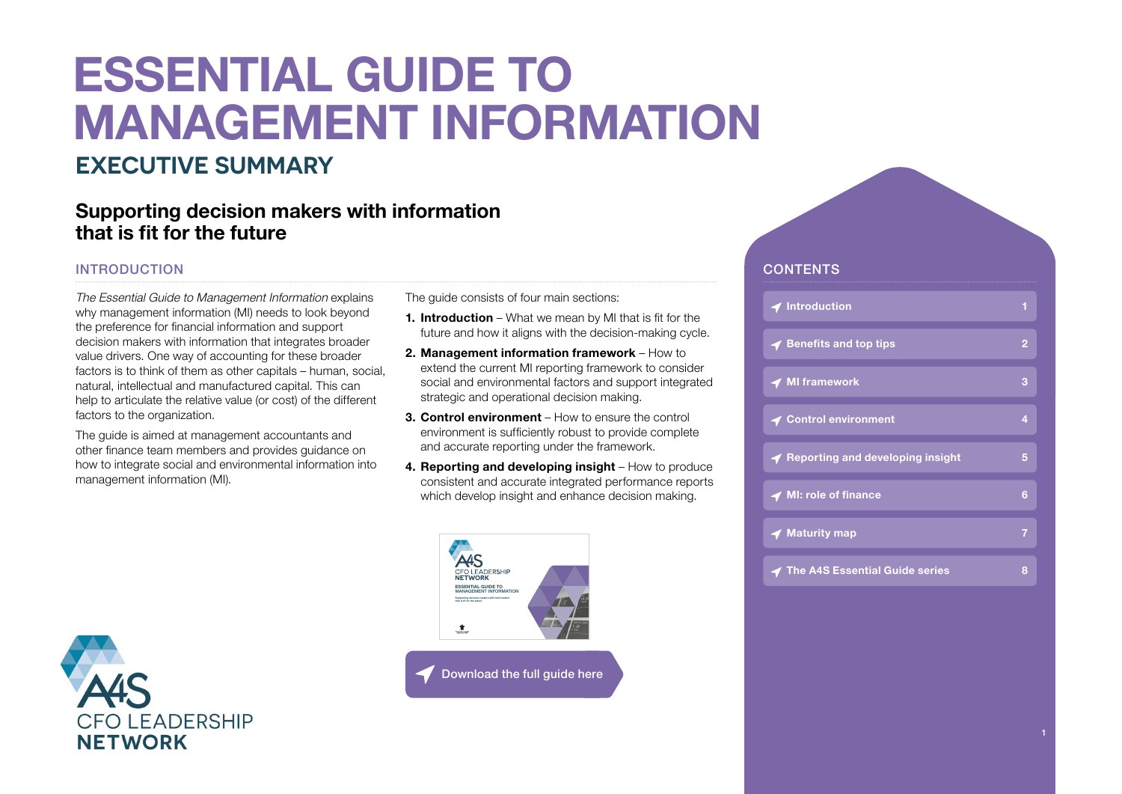# **ESSENTIAL GUIDE TO MANAGEMENT INFORMATION**

### **EXECUTIVE SUMMARY**

### **Supporting decision makers with information that is fit for the future**

#### INTRODUCTION

The Essential Guide to Management Information explains why management information (MI) needs to look beyond the preference for financial information and support decision makers with information that integrates broader value drivers. One way of accounting for these broader factors is to think of them as other capitals – human, social, natural, intellectual and manufactured capital. This can help to articulate the relative value (or cost) of the different factors to the organization.

The guide is aimed at management accountants and other finance team members and provides guidance on how to integrate social and environmental information into management information (MI).

The guide consists of four main sections:

- **1. Introduction** What we mean by MI that is fit for the future and how it aligns with the decision-making cycle.
- **2. Management information framework**  How to extend the current MI reporting framework to consider social and environmental factors and support integrated strategic and operational decision making.
- **3. Control environment**  How to ensure the control environment is sufficiently robust to provide complete and accurate reporting under the framework.
- **4. Reporting and developing insight**  How to produce consistent and accurate integrated performance reports which develop insight and enhance decision making.



#### [Download the full guide here](https://www.accountingforsustainability.org/en/knowledge-hub/guides/management-information.html)

#### **CONTENTS**

| <b>イ</b> Introduction                      | 1              |
|--------------------------------------------|----------------|
| $\blacktriangleleft$ Benefits and top tips | $\overline{2}$ |
| <b>◆ MI framework</b>                      | 3              |
| <b>◀ Control environment</b>               | 4              |
| ◀ Reporting and developing insight         | 5              |
| ◀ MI: role of finance                      | 6              |
| $\blacktriangleleft$ Maturity map          | 7              |
| <b>◆ The A4S Essential Guide series</b>    | 8              |

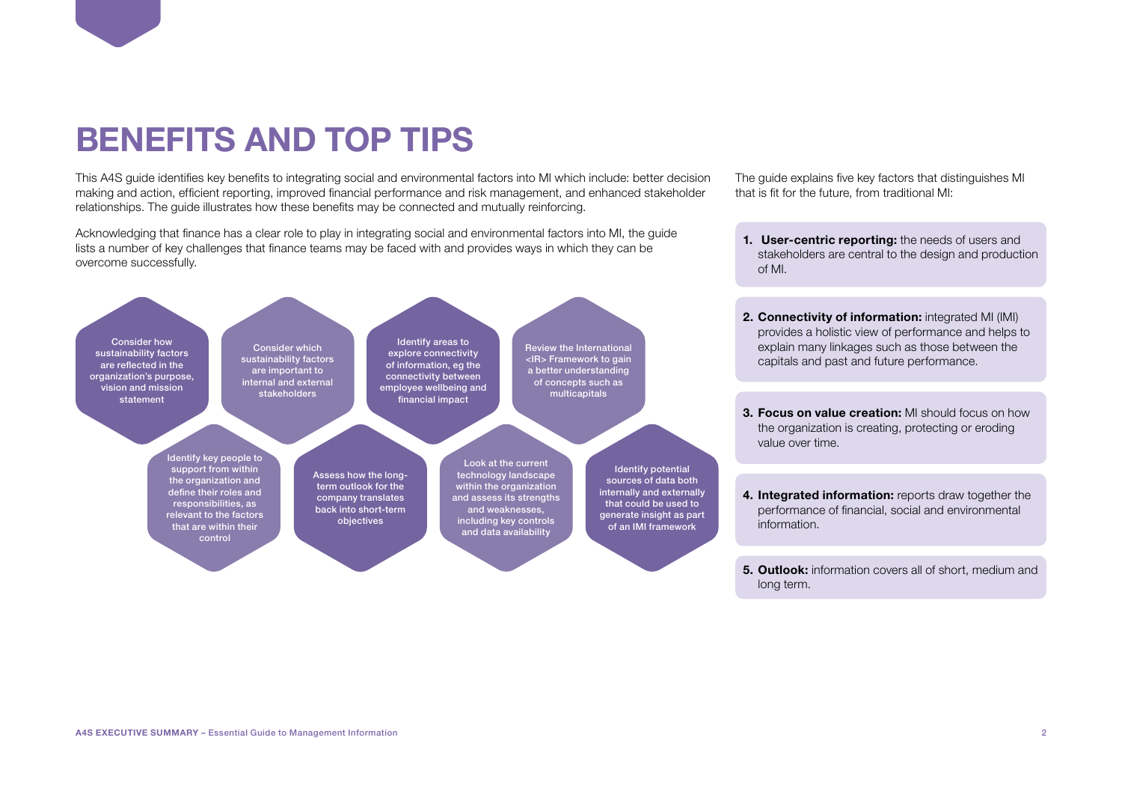### <span id="page-1-0"></span>**BENEFITS AND TOP TIPS**

This A4S guide identifies key benefits to integrating social and environmental factors into MI which include: better decision making and action, efficient reporting, improved financial performance and risk management, and enhanced stakeholder relationships. The guide illustrates how these benefits may be connected and mutually reinforcing.

Acknowledging that finance has a clear role to play in integrating social and environmental factors into MI, the guide lists a number of key challenges that finance teams may be faced with and provides ways in which they can be overcome successfully.



The guide explains five key factors that distinguishes MI that is fit for the future, from traditional MI:

- **1. User-centric reporting:** the needs of users and stakeholders are central to the design and production of MI.
- **2. Connectivity of information:** integrated MI (IMI) provides a holistic view of performance and helps to explain many linkages such as those between the capitals and past and future performance.
- **3. Focus on value creation:** MI should focus on how the organization is creating, protecting or eroding value over time.
- **4. Integrated information:** reports draw together the performance of financial, social and environmental information.
- **5. Outlook:** information covers all of short, medium and long term.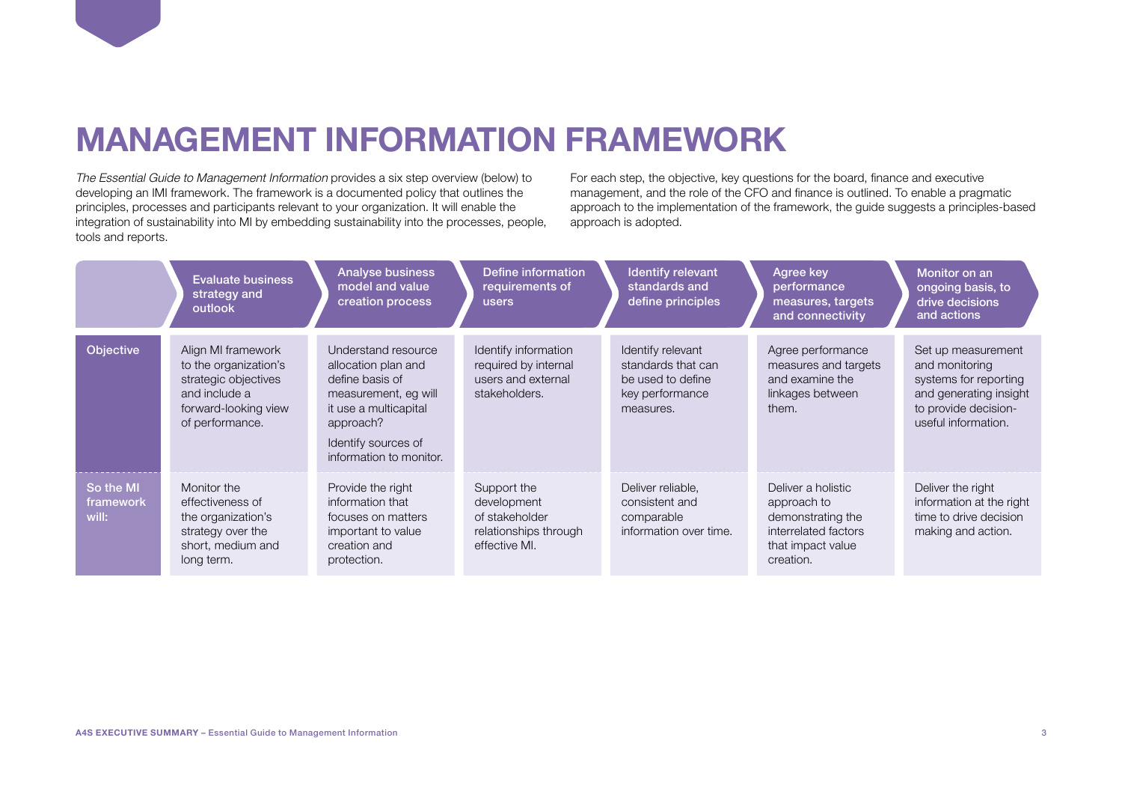### <span id="page-2-0"></span>**MANAGEMENT INFORMATION FRAMEWORK**

The Essential Guide to Management Information provides a six step overview (below) to developing an IMI framework. The framework is a documented policy that outlines the principles, processes and participants relevant to your organization. It will enable the integration of sustainability into MI by embedding sustainability into the processes, people, tools and reports.

For each step, the objective, key questions for the board, finance and executive management, and the role of the CFO and finance is outlined. To enable a pragmatic approach to the implementation of the framework, the guide suggests a principles-based approach is adopted.

|                                 | <b>Evaluate business</b><br>strategy and<br>outlook                                                                             | <b>Analyse business</b><br>model and value<br>creation process                                                                                                                | Define information<br>requirements of<br>users                                         | Identify relevant<br>standards and<br>define principles                                      | Agree key<br>performance<br>measures, targets<br>and connectivity                                                | Monitor on an<br>ongoing basis, to<br>drive decisions<br>and actions                                                                   |
|---------------------------------|---------------------------------------------------------------------------------------------------------------------------------|-------------------------------------------------------------------------------------------------------------------------------------------------------------------------------|----------------------------------------------------------------------------------------|----------------------------------------------------------------------------------------------|------------------------------------------------------------------------------------------------------------------|----------------------------------------------------------------------------------------------------------------------------------------|
| Objective                       | Align MI framework<br>to the organization's<br>strategic objectives<br>and include a<br>forward-looking view<br>of performance. | Understand resource<br>allocation plan and<br>define basis of<br>measurement, eg will<br>it use a multicapital<br>approach?<br>Identify sources of<br>information to monitor. | Identify information<br>required by internal<br>users and external<br>stakeholders.    | Identify relevant<br>standards that can<br>be used to define<br>key performance<br>measures. | Agree performance<br>measures and targets<br>and examine the<br>linkages between<br>them.                        | Set up measurement<br>and monitoring<br>systems for reporting<br>and generating insight<br>to provide decision-<br>useful information. |
| So the MI<br>framework<br>will: | Monitor the<br>effectiveness of<br>the organization's<br>strategy over the<br>short, medium and<br>long term.                   | Provide the right<br>information that<br>focuses on matters<br>important to value<br>creation and<br>protection.                                                              | Support the<br>development<br>of stakeholder<br>relationships through<br>effective MI. | Deliver reliable.<br>consistent and<br>comparable<br>information over time.                  | Deliver a holistic<br>approach to<br>demonstrating the<br>interrelated factors<br>that impact value<br>creation. | Deliver the right<br>information at the right<br>time to drive decision<br>making and action.                                          |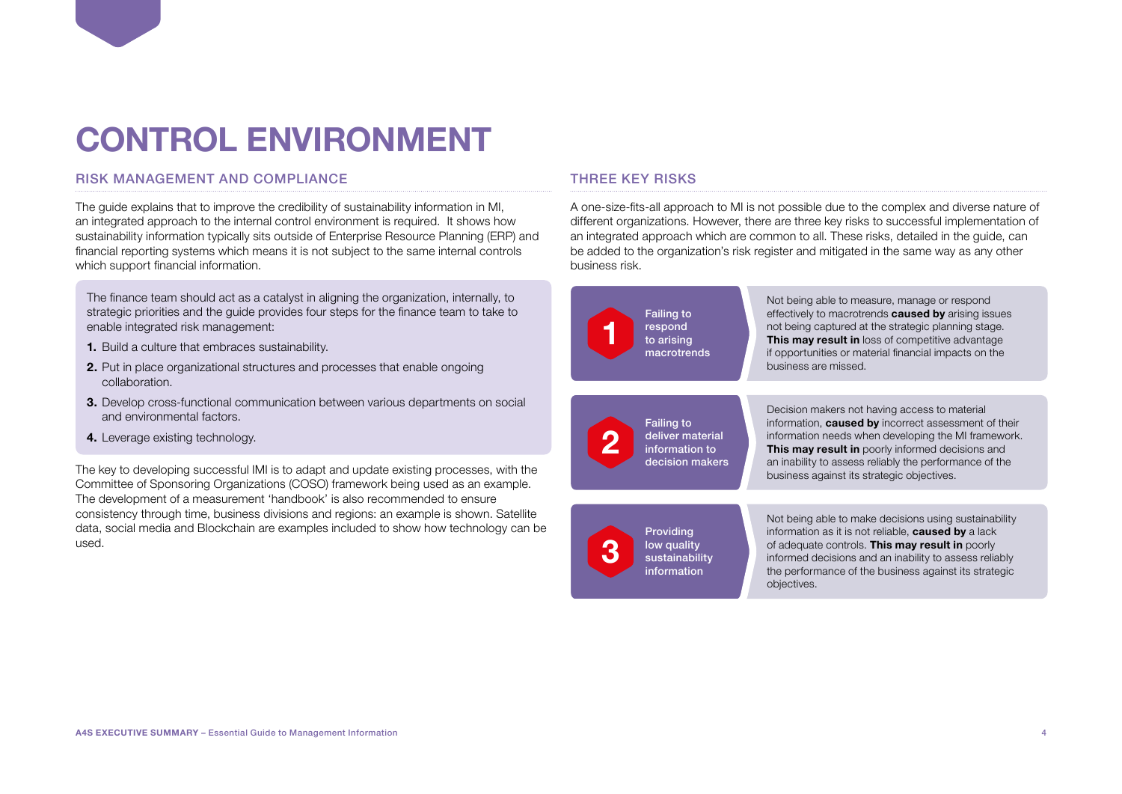## <span id="page-3-0"></span>**CONTROL ENVIRONMENT**

#### RISK MANAGEMENT AND COMPLIANCE

The guide explains that to improve the credibility of sustainability information in MI, an integrated approach to the internal control environment is required. It shows how sustainability information typically sits outside of Enterprise Resource Planning (ERP) and financial reporting systems which means it is not subject to the same internal controls which support financial information.

The finance team should act as a catalyst in aligning the organization, internally, to strategic priorities and the guide provides four steps for the finance team to take to enable integrated risk management:

- **1.** Build a culture that embraces sustainability.
- **2.** Put in place organizational structures and processes that enable ongoing collaboration.
- **3.** Develop cross-functional communication between various departments on social and environmental factors.
- **4.** Leverage existing technology.

The key to developing successful IMI is to adapt and update existing processes, with the Committee of Sponsoring Organizations (COSO) framework being used as an example. The development of a measurement 'handbook' is also recommended to ensure consistency through time, business divisions and regions: an example is shown. Satellite data, social media and Blockchain are examples included to show how technology can be used.

#### THREE KEY RISKS

A one-size-fits-all approach to MI is not possible due to the complex and diverse nature of different organizations. However, there are three key risks to successful implementation of an integrated approach which are common to all. These risks, detailed in the guide, can be added to the organization's risk register and mitigated in the same way as any other business risk.

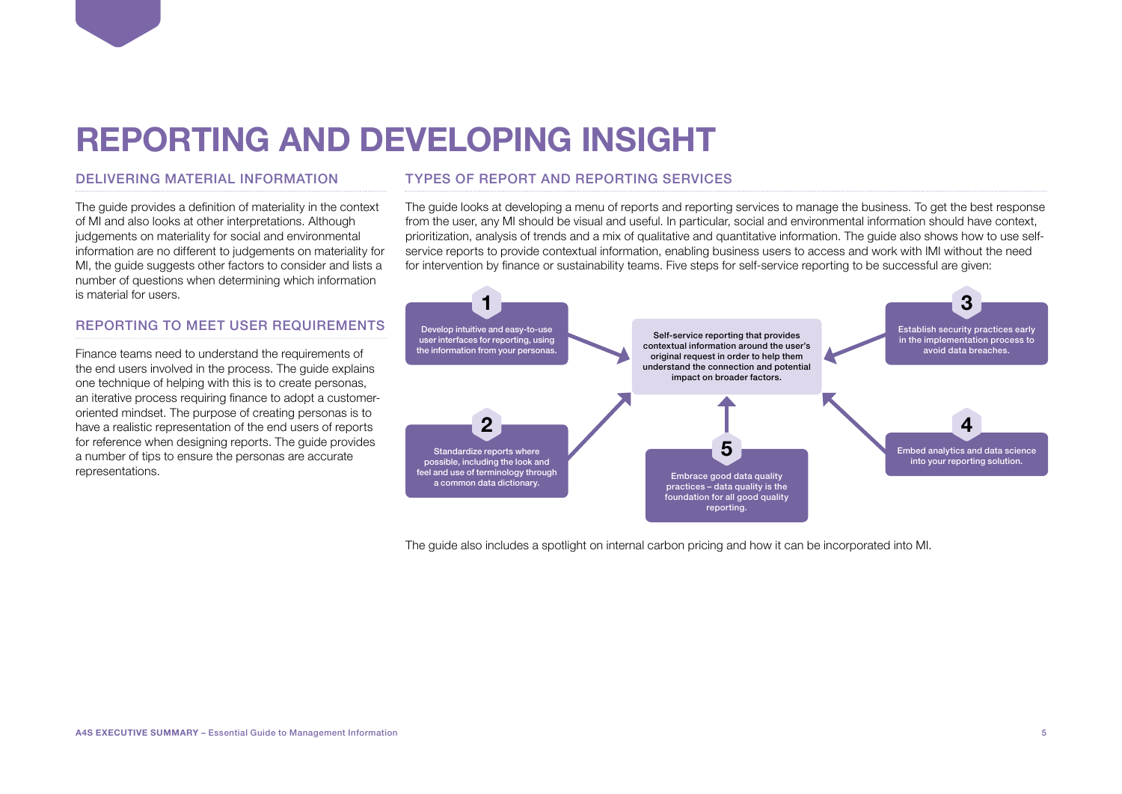### <span id="page-4-0"></span>**REPORTING AND DEVELOPING INSIGHT**

#### DELIVERING MATERIAL INFORMATION

The guide provides a definition of materiality in the context of MI and also looks at other interpretations. Although judgements on materiality for social and environmental information are no different to judgements on materiality for MI, the guide suggests other factors to consider and lists a number of questions when determining which information is material for users.

#### REPORTING TO MEET USER REQUIREMENTS

Finance teams need to understand the requirements of the end users involved in the process. The guide explains one technique of helping with this is to create personas, an iterative process requiring finance to adopt a customeroriented mindset. The purpose of creating personas is to have a realistic representation of the end users of reports for reference when designing reports. The guide provides a number of tips to ensure the personas are accurate representations.

#### TYPES OF REPORT AND REPORTING SERVICES

The guide looks at developing a menu of reports and reporting services to manage the business. To get the best response from the user, any MI should be visual and useful. In particular, social and environmental information should have context, prioritization, analysis of trends and a mix of qualitative and quantitative information. The guide also shows how to use selfservice reports to provide contextual information, enabling business users to access and work with IMI without the need for intervention by finance or sustainability teams. Five steps for self-service reporting to be successful are given:



The guide also includes a spotlight on internal carbon pricing and how it can be incorporated into MI.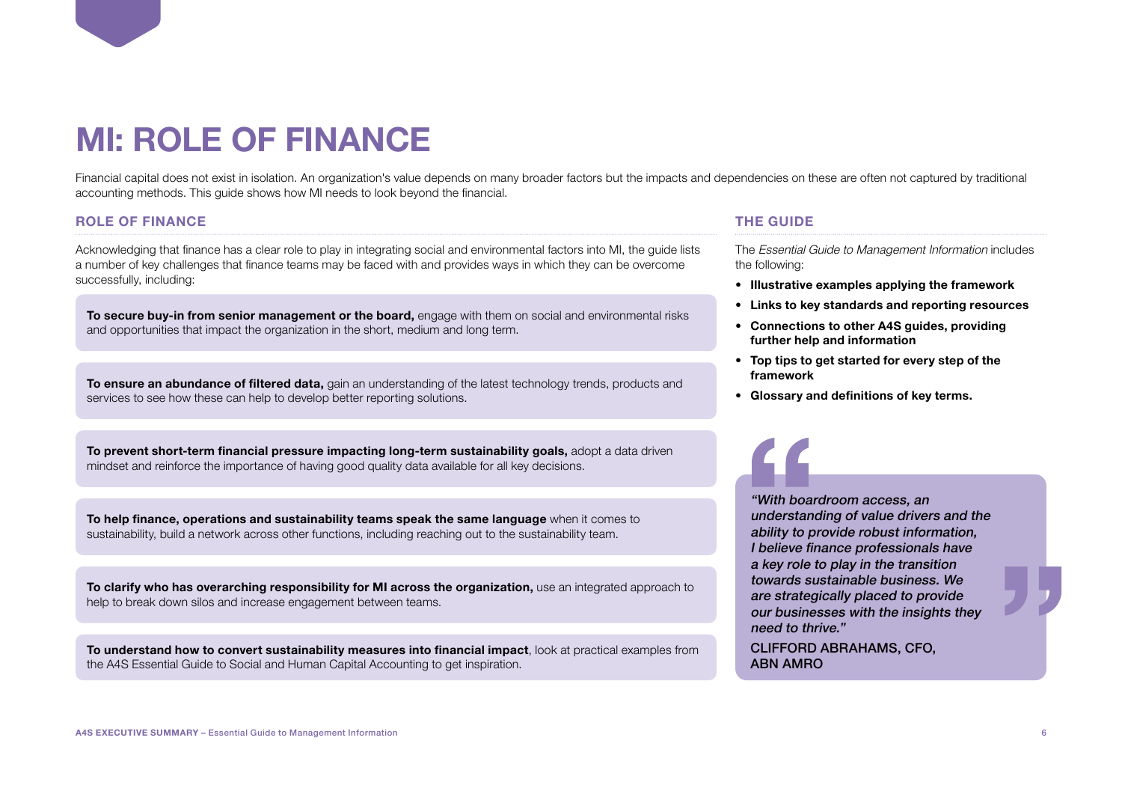## <span id="page-5-0"></span>**MI: ROLE OF FINANCE**

Financial capital does not exist in isolation. An organization's value depends on many broader factors but the impacts and dependencies on these are often not captured by traditional accounting methods. This guide shows how MI needs to look beyond the financial.

#### **ROLE OF FINANCE**

Acknowledging that finance has a clear role to play in integrating social and environmental factors into MI, the guide lists a number of key challenges that finance teams may be faced with and provides ways in which they can be overcome successfully, including:

**To secure buy-in from senior management or the board,** engage with them on social and environmental risks and opportunities that impact the organization in the short, medium and long term.

**To ensure an abundance of filtered data,** gain an understanding of the latest technology trends, products and services to see how these can help to develop better reporting solutions.

**To prevent short-term financial pressure impacting long-term sustainability goals,** adopt a data driven mindset and reinforce the importance of having good quality data available for all key decisions.

**To help finance, operations and sustainability teams speak the same language** when it comes to sustainability, build a network across other functions, including reaching out to the sustainability team.

**To clarify who has overarching responsibility for MI across the organization,** use an integrated approach to help to break down silos and increase engagement between teams.

**To understand how to convert sustainability measures into financial impact**, look at practical examples from the A4S Essential Guide to Social and Human Capital Accounting to get inspiration.

#### **THE GUIDE**

The Essential Guide to Management Information includes the following:

- **Illustrative examples applying the framework**
- **Links to key standards and reporting resources**
- **Connections to other A4S guides, providing further help and information**
- **Top tips to get started for every step of the framework**
- **Glossary and definitions of key terms.**

"With boardroom access, an understanding of value drivers and the ability to provide robust information, I believe finance professionals have a key role to play in the transition towards sustainable business. We are strategically placed to provide our businesses with the insights they need to thrive."

CLIFFORD ABRAHAMS, CFO, ABN AMRO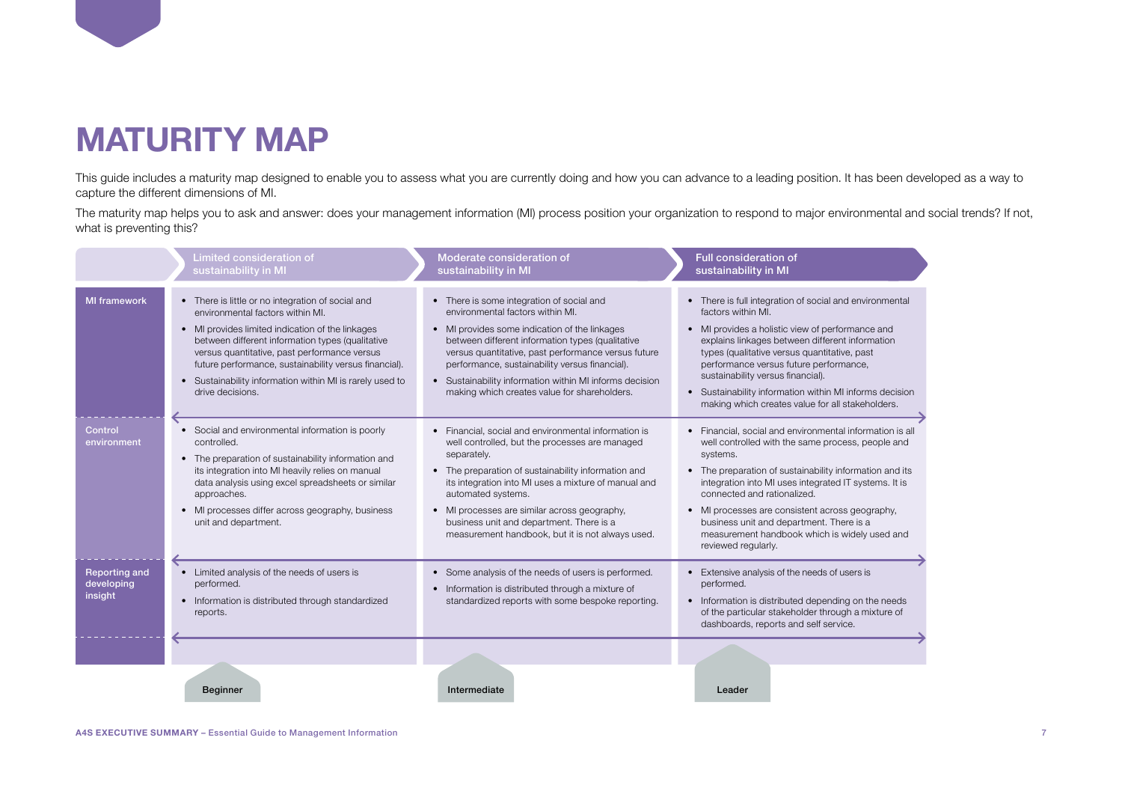### <span id="page-6-0"></span>**MATURITY MAP**

This guide includes a maturity map designed to enable you to assess what you are currently doing and how you can advance to a leading position. It has been developed as a way to capture the different dimensions of MI.

The maturity map helps you to ask and answer: does your management information (MI) process position your organization to respond to major environmental and social trends? If not, what is preventing this?

|                                               | Limited consideration of<br>sustainability in MI                                                                                                                                                                                                                                                                                                                                                  | Moderate consideration of<br>sustainability in MI                                                                                                                                                                                                                                                                                                                                                                     | <b>Full consideration of</b><br>sustainability in MI                                                                                                                                                                                                                                                                                                                                                                                                |
|-----------------------------------------------|---------------------------------------------------------------------------------------------------------------------------------------------------------------------------------------------------------------------------------------------------------------------------------------------------------------------------------------------------------------------------------------------------|-----------------------------------------------------------------------------------------------------------------------------------------------------------------------------------------------------------------------------------------------------------------------------------------------------------------------------------------------------------------------------------------------------------------------|-----------------------------------------------------------------------------------------------------------------------------------------------------------------------------------------------------------------------------------------------------------------------------------------------------------------------------------------------------------------------------------------------------------------------------------------------------|
| <b>MI</b> framework                           | • There is little or no integration of social and<br>environmental factors within MI.<br>• MI provides limited indication of the linkages<br>between different information types (qualitative<br>versus quantitative, past performance versus<br>future performance, sustainability versus financial).<br>Sustainability information within MI is rarely used to<br>$\bullet$<br>drive decisions. | • There is some integration of social and<br>environmental factors within MI.<br>MI provides some indication of the linkages<br>between different information types (qualitative<br>versus quantitative, past performance versus future<br>performance, sustainability versus financial).<br>Sustainability information within MI informs decision<br>$\bullet$<br>making which creates value for shareholders.       | • There is full integration of social and environmental<br>factors within MI.<br>• MI provides a holistic view of performance and<br>explains linkages between different information<br>types (qualitative versus quantitative, past<br>performance versus future performance,<br>sustainability versus financial).<br>• Sustainability information within MI informs decision<br>making which creates value for all stakeholders.                  |
| Control<br>environment                        | Social and environmental information is poorly<br>$\bullet$<br>controlled.<br>• The preparation of sustainability information and<br>its integration into MI heavily relies on manual<br>data analysis using excel spreadsheets or similar<br>approaches.<br>MI processes differ across geography, business<br>$\bullet$<br>unit and department.                                                  | • Financial, social and environmental information is<br>well controlled, but the processes are managed<br>separately.<br>• The preparation of sustainability information and<br>its integration into MI uses a mixture of manual and<br>automated systems.<br>MI processes are similar across geography,<br>$\bullet$<br>business unit and department. There is a<br>measurement handbook, but it is not always used. | • Financial, social and environmental information is all<br>well controlled with the same process, people and<br>systems.<br>• The preparation of sustainability information and its<br>integration into MI uses integrated IT systems. It is<br>connected and rationalized.<br>• MI processes are consistent across geography,<br>business unit and department. There is a<br>measurement handbook which is widely used and<br>reviewed regularly. |
| <b>Reporting and</b><br>developing<br>insight | Limited analysis of the needs of users is<br>$\bullet$<br>performed.<br>Information is distributed through standardized<br>$\bullet$<br>reports.                                                                                                                                                                                                                                                  | • Some analysis of the needs of users is performed.<br>Information is distributed through a mixture of<br>$\bullet$<br>standardized reports with some bespoke reporting.                                                                                                                                                                                                                                              | • Extensive analysis of the needs of users is<br>performed.<br>• Information is distributed depending on the needs<br>of the particular stakeholder through a mixture of<br>dashboards, reports and self service.                                                                                                                                                                                                                                   |
|                                               | <b>Beginner</b>                                                                                                                                                                                                                                                                                                                                                                                   | Intermediate                                                                                                                                                                                                                                                                                                                                                                                                          | Leader                                                                                                                                                                                                                                                                                                                                                                                                                                              |